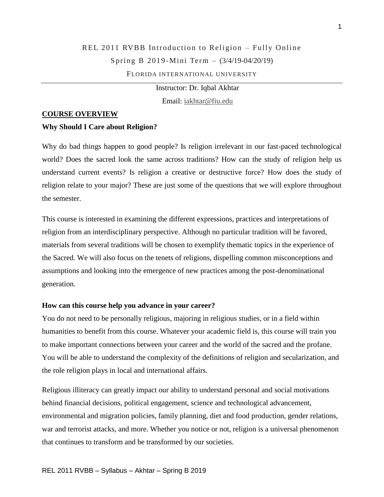# REL 2011 RVBB Introduction to Religion – Fully Online Spring B 2019 -Mini Term – (3/4/19-04/20/19) FLORIDA INTERNATIONAL UNIVERSITY

Instructor: Dr. Iqbal Akhtar Email: [iakhtar@fiu.edu](mailto:iakhtar@fiu.edu)

#### **COURSE OVERVIEW**

#### **Why Should I Care about Religion?**

Why do bad things happen to good people? Is religion irrelevant in our fast-paced technological world? Does the sacred look the same across traditions? How can the study of religion help us understand current events? Is religion a creative or destructive force? How does the study of religion relate to your major? These are just some of the questions that we will explore throughout the semester.

This course is interested in examining the different expressions, practices and interpretations of religion from an interdisciplinary perspective. Although no particular tradition will be favored, materials from several traditions will be chosen to exemplify thematic topics in the experience of the Sacred. We will also focus on the tenets of religions, dispelling common misconceptions and assumptions and looking into the emergence of new practices among the post-denominational generation.

#### **How can this course help you advance in your career?**

You do not need to be personally religious, majoring in religious studies, or in a field within humanities to benefit from this course. Whatever your academic field is, this course will train you to make important connections between your career and the world of the sacred and the profane. You will be able to understand the complexity of the definitions of religion and secularization, and the role religion plays in local and international affairs.

Religious illiteracy can greatly impact our ability to understand personal and social motivations behind financial decisions, political engagement, science and technological advancement, environmental and migration policies, family planning, diet and food production, gender relations, war and terrorist attacks, and more. Whether you notice or not, religion is a universal phenomenon that continues to transform and be transformed by our societies.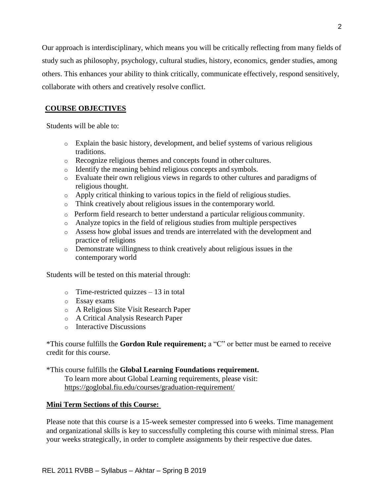Our approach is interdisciplinary, which means you will be critically reflecting from many fields of study such as philosophy, psychology, cultural studies, history, economics, gender studies, among others. This enhances your ability to think critically, communicate effectively, respond sensitively, collaborate with others and creatively resolve conflict.

# **COURSE OBJECTIVES**

Students will be able to:

- o Explain the basic history, development, and belief systems of various religious traditions.
- o Recognize religious themes and concepts found in other cultures.
- o Identify the meaning behind religious concepts and symbols.
- o Evaluate their own religious views in regards to other cultures and paradigms of religious thought.
- o Apply critical thinking to various topics in the field of religious studies.
- o Think creatively about religious issues in the contemporary world.
- o Perform field research to better understand a particular religious community.
- o Analyze topics in the field of religious studies from multiple perspectives
- o Assess how global issues and trends are interrelated with the development and practice of religions
- o Demonstrate willingness to think creatively about religious issues in the contemporary world

Students will be tested on this material through:

- $\circ$  Time-restricted quizzes 13 in total
- o Essay exams
- o A Religious Site Visit Research Paper
- o A Critical Analysis Research Paper
- o Interactive Discussions

\*This course fulfills the **Gordon Rule requirement;** a "C" or better must be earned to receive credit for this course.

\*This course fulfills the **Global Learning Foundations requirement.**

To learn more about Global Learning requirements, please visit: <https://goglobal.fiu.edu/courses/graduation-requirement/>

## **Mini Term Sections of this Course:**

Please note that this course is a 15-week semester compressed into 6 weeks. Time management and organizational skills is key to successfully completing this course with minimal stress. Plan your weeks strategically, in order to complete assignments by their respective due dates.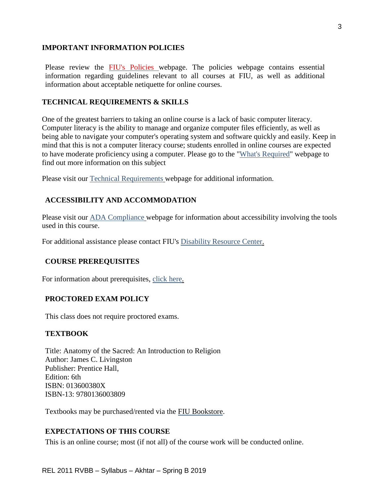## **IMPORTANT INFORMATION POLICIES**

Please review the FIU's Policies webpage. The policies webpage contains essential information regarding guidelines relevant to all courses at FIU, as well as additional information about acceptable netiquette for online courses.

#### **TECHNICAL REQUIREMENTS & SKILLS**

One of the greatest barriers to taking an online course is a lack of basic computer literacy. Computer literacy is the ability to manage and organize computer files efficiently, as well as being able to navigate your computer's operating system and software quickly and easily. Keep in mind that this is not a computer literacy course; students enrolled in online courses are expected to have moderate proficiency using a computer. Please go to the ["What's Required"](http://online.fiu.edu/futurestudents/whatsrequired) webpage to find out more information on this subject

Please visit our [Technical Requirements](http://online.fiu.edu/app/webroot/html/blackboardlearn/mastertemplate/technical_requirements/) webpage for additional information.

## **ACCESSIBILITY AND ACCOMMODATION**

Please visit our [ADA Compliance](http://online.fiu.edu/app/webroot/html/blackboardlearn/mastertemplate/accessibility/) webpage for information about accessibility involving the tools used in this course.

For additional assistance please contact FIU's [Disability Resource Center.](http://drc.fiu.edu/)

#### **COURSE PREREQUISITES**

For information about prerequisites, [click here.](http://catalog.fiu.edu/coursesearch/index.php)

#### **PROCTORED EXAM POLICY**

This class does not require proctored exams.

#### **TEXTBOOK**

Title: Anatomy of the Sacred: An Introduction to Religion Author: James C. Livingston Publisher: Prentice Hall, Edition: 6th ISBN: 013600380X ISBN-13: 9780136003809

Textbooks may be purchased/rented via the [FIU Bookstore.](http://fiu.bncollege.com/webapp/wcs/stores/servlet/BNCBHomePage?storeId=21551&catalogId=10001)

## **EXPECTATIONS OF THIS COURSE**

This is an online course; most (if not all) of the course work will be conducted online.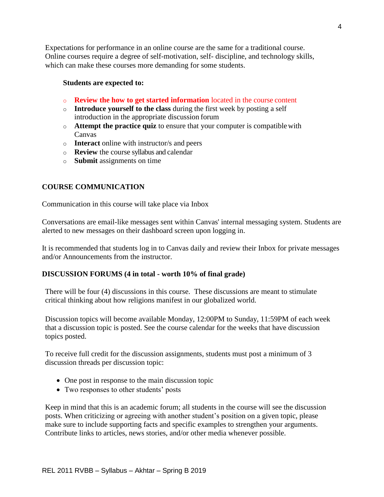Expectations for performance in an online course are the same for a traditional course. Online courses require a degree of self-motivation, self- discipline, and technology skills, which can make these courses more demanding for some students.

#### **Students are expected to:**

- o **Review the how to get started information** located in the course content
- o **Introduce yourself to the class** during the first week by posting a self introduction in the appropriate discussion forum
- o **Attempt the practice quiz** to ensure that your computer is compatiblewith Canvas
- o **Interact** online with instructor/s and peers
- o **Review** the course syllabus and calendar
- o **Submit** assignments on time

## **COURSE COMMUNICATION**

Communication in this course will take place via Inbox

Conversations are email-like messages sent within Canvas' internal messaging system. Students are alerted to new messages on their dashboard screen upon logging in.

It is recommended that students log in to Canvas daily and review their Inbox for private messages and/or Announcements from the instructor.

## **DISCUSSION FORUMS (4 in total - worth 10% of final grade)**

There will be four (4) discussions in this course. These discussions are meant to stimulate critical thinking about how religions manifest in our globalized world.

Discussion topics will become available Monday, 12:00PM to Sunday, 11:59PM of each week that a discussion topic is posted. See the course calendar for the weeks that have discussion topics posted.

To receive full credit for the discussion assignments, students must post a minimum of 3 discussion threads per discussion topic:

- One post in response to the main discussion topic
- Two responses to other students' posts

Keep in mind that this is an academic forum; all students in the course will see the discussion posts. When criticizing or agreeing with another student's position on a given topic, please make sure to include supporting facts and specific examples to strengthen your arguments. Contribute links to articles, news stories, and/or other media whenever possible.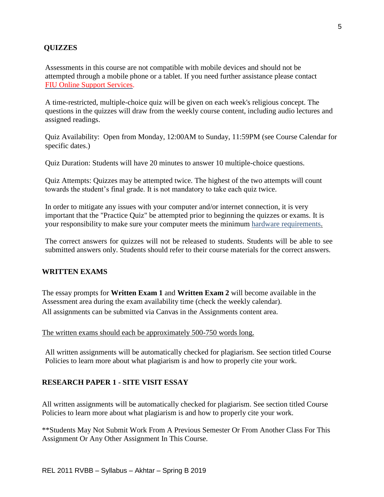## **QUIZZES**

Assessments in this course are not compatible with mobile devices and should not be attempted through a mobile phone or a tablet. If you need further assistance please contact FIU Online Support Services.

A time-restricted, multiple-choice quiz will be given on each week's religious concept. The questions in the quizzes will draw from the weekly course content, including audio lectures and assigned readings.

Quiz Availability: Open from Monday, 12:00AM to Sunday, 11:59PM (see Course Calendar for specific dates.)

Quiz Duration: Students will have 20 minutes to answer 10 multiple-choice questions.

Quiz Attempts: Quizzes may be attempted twice. The highest of the two attempts will count towards the student's final grade. It is not mandatory to take each quiz twice.

In order to mitigate any issues with your computer and/or internet connection, it is very important that the "Practice Quiz" be attempted prior to beginning the quizzes or exams. It is your responsibility to make sure your computer meets the minimum [hardware requirements.](http://online.fiu.edu/future_whats_required.html)

The correct answers for quizzes will not be released to students. Students will be able to see submitted answers only. Students should refer to their course materials for the correct answers.

## **WRITTEN EXAMS**

The essay prompts for **Written Exam 1** and **Written Exam 2** will become available in the Assessment area during the exam availability time (check the weekly calendar). All assignments can be submitted via Canvas in the Assignments content area.

The written exams should each be approximately 500-750 words long.

All written assignments will be automatically checked for plagiarism. See section titled Course Policies to learn more about what plagiarism is and how to properly cite your work.

#### **RESEARCH PAPER 1 - SITE VISIT ESSAY**

All written assignments will be automatically checked for plagiarism. See section titled Course Policies to learn more about what plagiarism is and how to properly cite your work.

\*\*Students May Not Submit Work From A Previous Semester Or From Another Class For This Assignment Or Any Other Assignment In This Course.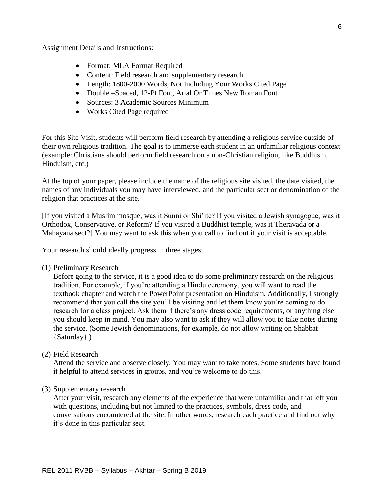Assignment Details and Instructions:

- Format: MLA Format Required
- Content: Field research and supplementary research
- Length: 1800-2000 Words, Not Including Your Works Cited Page
- Double –Spaced, 12-Pt Font, Arial Or Times New Roman Font
- Sources: 3 Academic Sources Minimum
- Works Cited Page required

For this Site Visit, students will perform field research by attending a religious service outside of their own religious tradition. The goal is to immerse each student in an unfamiliar religious context (example: Christians should perform field research on a non-Christian religion, like Buddhism, Hinduism, etc.)

At the top of your paper, please include the name of the religious site visited, the date visited, the names of any individuals you may have interviewed, and the particular sect or denomination of the religion that practices at the site.

[If you visited a Muslim mosque, was it Sunni or Shi'ite? If you visited a Jewish synagogue, was it Orthodox, Conservative, or Reform? If you visited a Buddhist temple, was it Theravada or a Mahayana sect?] You may want to ask this when you call to find out if your visit is acceptable.

Your research should ideally progress in three stages:

(1) Preliminary Research

Before going to the service, it is a good idea to do some preliminary research on the religious tradition. For example, if you're attending a Hindu ceremony, you will want to read the textbook chapter and watch the PowerPoint presentation on Hinduism. Additionally, I strongly recommend that you call the site you'll be visiting and let them know you're coming to do research for a class project. Ask them if there's any dress code requirements, or anything else you should keep in mind. You may also want to ask if they will allow you to take notes during the service. (Some Jewish denominations, for example, do not allow writing on Shabbat {Saturday}.)

(2) Field Research

Attend the service and observe closely. You may want to take notes. Some students have found it helpful to attend services in groups, and you're welcome to do this.

(3) Supplementary research

After your visit, research any elements of the experience that were unfamiliar and that left you with questions, including but not limited to the practices, symbols, dress code, and conversations encountered at the site. In other words, research each practice and find out why it's done in this particular sect.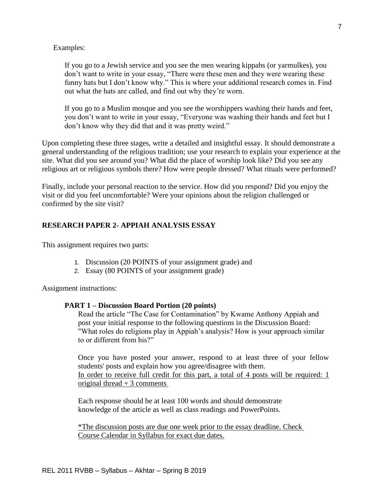#### Examples:

If you go to a Jewish service and you see the men wearing kippahs (or yarmulkes), you don't want to write in your essay, "There were these men and they were wearing these funny hats but I don't know why." This is where your additional research comes in. Find out what the hats are called, and find out why they're worn.

If you go to a Muslim mosque and you see the worshippers washing their hands and feet, you don't want to write in your essay, "Everyone was washing their hands and feet but I don't know why they did that and it was pretty weird."

Upon completing these three stages, write a detailed and insightful essay. It should demonstrate a general understanding of the religious tradition; use your research to explain your experience at the site. What did you see around you? What did the place of worship look like? Did you see any religious art or religious symbols there? How were people dressed? What rituals were performed?

Finally, include your personal reaction to the service. How did you respond? Did you enjoy the visit or did you feel uncomfortable? Were your opinions about the religion challenged or confirmed by the site visit?

#### **RESEARCH PAPER 2- APPIAH ANALYSIS ESSAY**

This assignment requires two parts:

- 1. Discussion (20 POINTS of your assignment grade) and
- 2. Essay (80 POINTS of your assignment grade)

Assignment instructions:

#### **PART 1 – Discussion Board Portion (20 points)**

Read the article "The Case for Contamination" by Kwame Anthony Appiah and post your initial response to the following questions in the Discussion Board: "What roles do religions play in Appiah's analysis? How is your approach similar to or different from his?"

Once you have posted your answer, respond to at least three of your fellow students' posts and explain how you agree/disagree with them. In order to receive full credit for this part, a total of 4 posts will be required: 1 original thread  $+3$  comments

Each response should be at least 100 words and should demonstrate knowledge of the article as well as class readings and PowerPoints.

\*The discussion posts are due one week prior to the essay deadline. Check Course Calendar in Syllabus for exact due dates.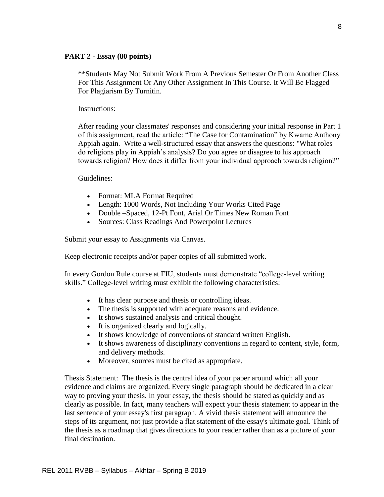#### **PART 2 - Essay (80 points)**

\*\*Students May Not Submit Work From A Previous Semester Or From Another Class For This Assignment Or Any Other Assignment In This Course. It Will Be Flagged For Plagiarism By Turnitin.

Instructions:

After reading your classmates' responses and considering your initial response in Part 1 of this assignment, read the article: ["The Case for Contamination"](https://fiu.instructure.com/courses/5876/files/1828938/download?wrap=1) by Kwame Anthony Appiah again. Write a well-structured essay that answers the questions: "What roles do religions play in Appiah's analysis? Do you agree or disagree to his approach towards religion? How does it differ from your individual approach towards religion?"

Guidelines:

- Format: MLA Format Required
- Length: 1000 Words, Not Including Your Works Cited Page
- Double –Spaced, 12-Pt Font, Arial Or Times New Roman Font
- Sources: Class Readings And Powerpoint Lectures

Submit your essay to Assignments via Canvas.

Keep electronic receipts and/or paper copies of all submitted work.

In every Gordon Rule course at FIU, students must demonstrate "college-level writing skills." College-level writing must exhibit the following characteristics:

- It has clear purpose and thesis or controlling ideas.
- The thesis is supported with adequate reasons and evidence.
- It shows sustained analysis and critical thought.
- It is organized clearly and logically.
- It shows knowledge of conventions of standard written English.
- It shows awareness of disciplinary conventions in regard to content, style, form, and delivery methods.
- Moreover, sources must be cited as appropriate.

Thesis Statement: The thesis is the central idea of your paper around which all your evidence and claims are organized. Every single paragraph should be dedicated in a clear way to proving your thesis. In your essay, the thesis should be stated as quickly and as clearly as possible. In fact, many teachers will expect your thesis statement to appear in the last sentence of your essay's first paragraph. A vivid thesis statement will announce the steps of its argument, not just provide a flat statement of the essay's ultimate goal. Think of the thesis as a roadmap that gives directions to your reader rather than as a picture of your final destination.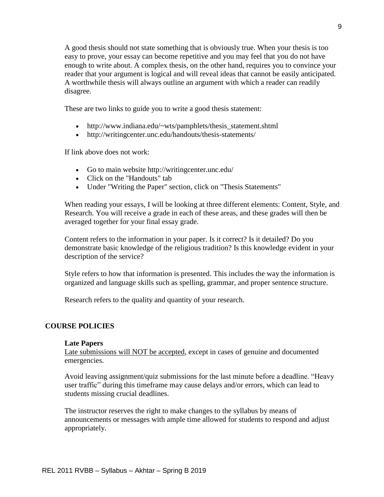A good thesis should not state something that is obviously true. When your thesis is too easy to prove, your essay can become repetitive and you may feel that you do not have enough to write about. A complex thesis, on the other hand, requires you to convince your reader that your argument is logical and will reveal ideas that cannot be easily anticipated. A worthwhile thesis will always outline an argument with which a reader can readily disagree.

These are two links to guide you to write a good thesis statement:

- http://www.indiana.edu/~wts/pamphlets/thesis\_statement.shtml
- http://writingcenter.unc.edu/handouts/thesis-statements/

If link above does not work:

- Go to main website http://writingcenter.unc.edu/
- Click on the "Handouts" tab
- Under "Writing the Paper" section, click on "Thesis Statements"

When reading your essays, I will be looking at three different elements: Content, Style, and Research. You will receive a grade in each of these areas, and these grades will then be averaged together for your final essay grade.

Content refers to the information in your paper. Is it correct? Is it detailed? Do you demonstrate basic knowledge of the religious tradition? Is this knowledge evident in your description of the service?

Style refers to how that information is presented. This includes the way the information is organized and language skills such as spelling, grammar, and proper sentence structure.

Research refers to the quality and quantity of your research.

## **COURSE POLICIES**

#### **Late Papers**

Late submissions will NOT be accepted, except in cases of genuine and documented emergencies.

Avoid leaving assignment/quiz submissions for the last minute before a deadline. "Heavy user traffic" during this timeframe may cause delays and/or errors, which can lead to students missing crucial deadlines.

The instructor reserves the right to make changes to the syllabus by means of announcements or messages with ample time allowed for students to respond and adjust appropriately.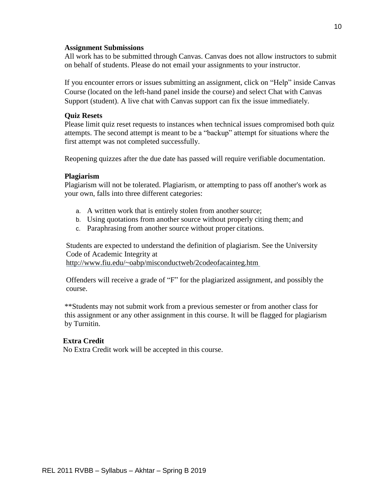#### **Assignment Submissions**

All work has to be submitted through Canvas. Canvas does not allow instructors to submit on behalf of students. Please do not email your assignments to your instructor.

If you encounter errors or issues submitting an assignment, click on "Help" inside Canvas Course (located on the left-hand panel inside the course) and select Chat with Canvas Support (student). A live chat with Canvas support can fix the issue immediately.

#### **Quiz Resets**

Please limit quiz reset requests to instances when technical issues compromised both quiz attempts. The second attempt is meant to be a "backup" attempt for situations where the first attempt was not completed successfully.

Reopening quizzes after the due date has passed will require verifiable documentation.

#### **Plagiarism**

Plagiarism will not be tolerated. Plagiarism, or attempting to pass off another's work as your own, falls into three different categories:

- a. A written work that is entirely stolen from another source;
- b. Using quotations from another source without properly citing them; and
- c. Paraphrasing from another source without proper citations.

Students are expected to understand the definition of plagiarism. See the University Code of Academic Integrity at

<http://www.fiu.edu/~oabp/misconductweb/2codeofacainteg.htm>

Offenders will receive a grade of "F" for the plagiarized assignment, and possibly the course.

\*\*Students may not submit work from a previous semester or from another class for this assignment or any other assignment in this course. It will be flagged for plagiarism by Turnitin.

## **Extra Credit**

No Extra Credit work will be accepted in this course.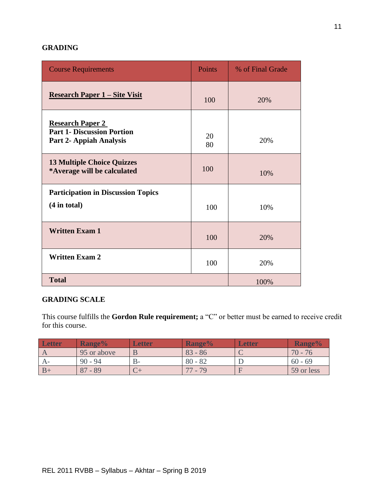## **GRADING**

| <b>Course Requirements</b>                                                              | <b>Points</b> | % of Final Grade |
|-----------------------------------------------------------------------------------------|---------------|------------------|
| <b>Research Paper 1 – Site Visit</b>                                                    | 100           | 20%              |
| <b>Research Paper 2</b><br><b>Part 1- Discussion Portion</b><br>Part 2- Appiah Analysis | 20<br>80      | 20%              |
| <b>13 Multiple Choice Quizzes</b><br>*Average will be calculated                        | 100           | 10%              |
| <b>Participation in Discussion Topics</b><br>$(4$ in total)                             | 100           | 10%              |
| <b>Written Exam 1</b>                                                                   | 100           | 20%              |
| <b>Written Exam 2</b>                                                                   | 100           | 20%              |
| <b>Total</b><br>100%                                                                    |               |                  |

## **GRADING SCALE**

This course fulfills the **Gordon Rule requirement;** a "C" or better must be earned to receive credit for this course.

| Letter | Range%                  | Letter | Range%    | <b>Letter</b> | <b>Range%</b> |
|--------|-------------------------|--------|-----------|---------------|---------------|
|        | 95 or above             |        | $83 - 86$ |               | $70 -$<br>76  |
|        | $90 - 94$               | $B -$  | $80 - 82$ |               | $60 - 69$     |
|        | O <sub>7</sub><br>$-89$ |        | $-79$     |               | 59 or less    |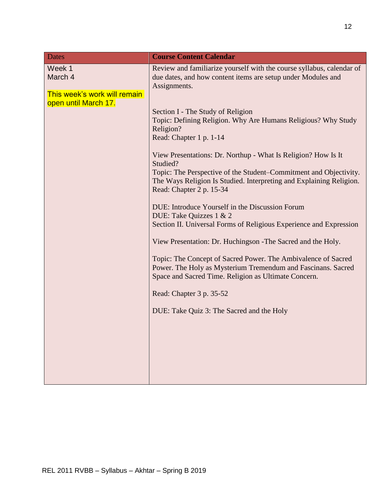| <b>Dates</b>                                      | <b>Course Content Calendar</b>                                                                                                                                                                                                                                                                                                                                                                                                                                                                                                                                                                                                                                                                                                                                                                                                                                                        |
|---------------------------------------------------|---------------------------------------------------------------------------------------------------------------------------------------------------------------------------------------------------------------------------------------------------------------------------------------------------------------------------------------------------------------------------------------------------------------------------------------------------------------------------------------------------------------------------------------------------------------------------------------------------------------------------------------------------------------------------------------------------------------------------------------------------------------------------------------------------------------------------------------------------------------------------------------|
| Week 1<br>March 4<br>This week's work will remain | Review and familiarize yourself with the course syllabus, calendar of<br>due dates, and how content items are setup under Modules and<br>Assignments.                                                                                                                                                                                                                                                                                                                                                                                                                                                                                                                                                                                                                                                                                                                                 |
| open until March 17.                              | Section I - The Study of Religion<br>Topic: Defining Religion. Why Are Humans Religious? Why Study<br>Religion?<br>Read: Chapter 1 p. 1-14<br>View Presentations: Dr. Northup - What Is Religion? How Is It<br>Studied?<br>Topic: The Perspective of the Student–Commitment and Objectivity.<br>The Ways Religion Is Studied. Interpreting and Explaining Religion.<br>Read: Chapter 2 p. 15-34<br>DUE: Introduce Yourself in the Discussion Forum<br>DUE: Take Quizzes 1 & 2<br>Section II. Universal Forms of Religious Experience and Expression<br>View Presentation: Dr. Huchingson - The Sacred and the Holy.<br>Topic: The Concept of Sacred Power. The Ambivalence of Sacred<br>Power. The Holy as Mysterium Tremendum and Fascinans. Sacred<br>Space and Sacred Time. Religion as Ultimate Concern.<br>Read: Chapter 3 p. 35-52<br>DUE: Take Quiz 3: The Sacred and the Holy |
|                                                   |                                                                                                                                                                                                                                                                                                                                                                                                                                                                                                                                                                                                                                                                                                                                                                                                                                                                                       |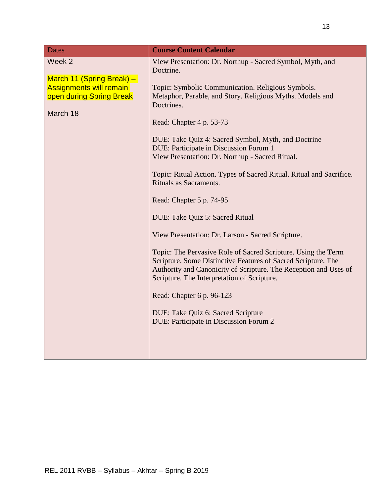| <b>Dates</b>                                                                                                  | <b>Course Content Calendar</b>                                                                                                                                                                                                                                                                                                                                                                                                                                                                                                                                                                                                                                                                                                                                                                                                                                                                                                                                                |
|---------------------------------------------------------------------------------------------------------------|-------------------------------------------------------------------------------------------------------------------------------------------------------------------------------------------------------------------------------------------------------------------------------------------------------------------------------------------------------------------------------------------------------------------------------------------------------------------------------------------------------------------------------------------------------------------------------------------------------------------------------------------------------------------------------------------------------------------------------------------------------------------------------------------------------------------------------------------------------------------------------------------------------------------------------------------------------------------------------|
| Week 2<br>March 11 (Spring Break) -<br><b>Assignments will remain</b><br>open during Spring Break<br>March 18 | View Presentation: Dr. Northup - Sacred Symbol, Myth, and<br>Doctrine.<br>Topic: Symbolic Communication. Religious Symbols.<br>Metaphor, Parable, and Story. Religious Myths. Models and<br>Doctrines.<br>Read: Chapter 4 p. 53-73<br>DUE: Take Quiz 4: Sacred Symbol, Myth, and Doctrine<br>DUE: Participate in Discussion Forum 1<br>View Presentation: Dr. Northup - Sacred Ritual.<br>Topic: Ritual Action. Types of Sacred Ritual. Ritual and Sacrifice.<br>Rituals as Sacraments.<br>Read: Chapter 5 p. 74-95<br>DUE: Take Quiz 5: Sacred Ritual<br>View Presentation: Dr. Larson - Sacred Scripture.<br>Topic: The Pervasive Role of Sacred Scripture. Using the Term<br>Scripture. Some Distinctive Features of Sacred Scripture. The<br>Authority and Canonicity of Scripture. The Reception and Uses of<br>Scripture. The Interpretation of Scripture.<br>Read: Chapter 6 p. 96-123<br>DUE: Take Quiz 6: Sacred Scripture<br>DUE: Participate in Discussion Forum 2 |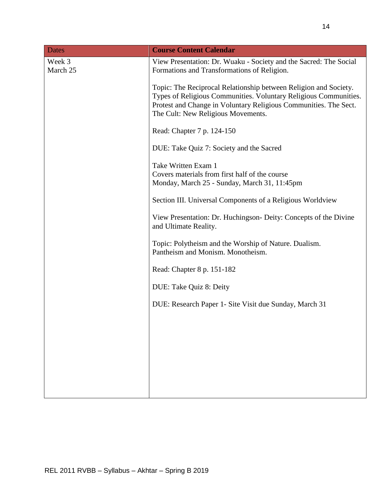| <b>Dates</b>       | <b>Course Content Calendar</b>                                                                                                                                                                                                                 |
|--------------------|------------------------------------------------------------------------------------------------------------------------------------------------------------------------------------------------------------------------------------------------|
| Week 3<br>March 25 | View Presentation: Dr. Wuaku - Society and the Sacred: The Social<br>Formations and Transformations of Religion.                                                                                                                               |
|                    | Topic: The Reciprocal Relationship between Religion and Society.<br>Types of Religious Communities. Voluntary Religious Communities.<br>Protest and Change in Voluntary Religious Communities. The Sect.<br>The Cult: New Religious Movements. |
|                    | Read: Chapter 7 p. 124-150                                                                                                                                                                                                                     |
|                    | DUE: Take Quiz 7: Society and the Sacred                                                                                                                                                                                                       |
|                    | Take Written Exam 1<br>Covers materials from first half of the course<br>Monday, March 25 - Sunday, March 31, 11:45pm                                                                                                                          |
|                    | Section III. Universal Components of a Religious Worldview                                                                                                                                                                                     |
|                    | View Presentation: Dr. Huchingson- Deity: Concepts of the Divine<br>and Ultimate Reality.                                                                                                                                                      |
|                    | Topic: Polytheism and the Worship of Nature. Dualism.<br>Pantheism and Monism. Monotheism.                                                                                                                                                     |
|                    | Read: Chapter 8 p. 151-182                                                                                                                                                                                                                     |
|                    | DUE: Take Quiz 8: Deity                                                                                                                                                                                                                        |
|                    | DUE: Research Paper 1- Site Visit due Sunday, March 31                                                                                                                                                                                         |
|                    |                                                                                                                                                                                                                                                |
|                    |                                                                                                                                                                                                                                                |
|                    |                                                                                                                                                                                                                                                |
|                    |                                                                                                                                                                                                                                                |
|                    |                                                                                                                                                                                                                                                |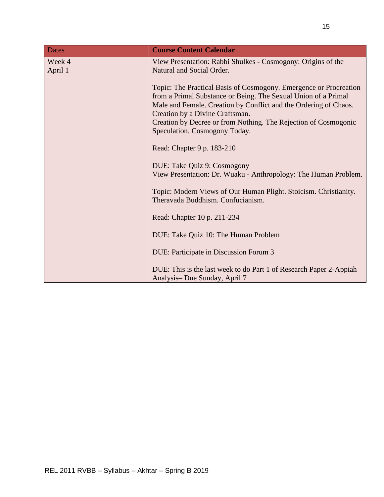| <b>Dates</b>      | <b>Course Content Calendar</b>                                                                                                                                                                                                                                                                                                                 |
|-------------------|------------------------------------------------------------------------------------------------------------------------------------------------------------------------------------------------------------------------------------------------------------------------------------------------------------------------------------------------|
| Week 4<br>April 1 | View Presentation: Rabbi Shulkes - Cosmogony: Origins of the<br>Natural and Social Order.                                                                                                                                                                                                                                                      |
|                   | Topic: The Practical Basis of Cosmogony. Emergence or Procreation<br>from a Primal Substance or Being. The Sexual Union of a Primal<br>Male and Female. Creation by Conflict and the Ordering of Chaos.<br>Creation by a Divine Craftsman.<br>Creation by Decree or from Nothing. The Rejection of Cosmogonic<br>Speculation. Cosmogony Today. |
|                   | Read: Chapter 9 p. 183-210                                                                                                                                                                                                                                                                                                                     |
|                   | DUE: Take Quiz 9: Cosmogony<br>View Presentation: Dr. Wuaku - Anthropology: The Human Problem.                                                                                                                                                                                                                                                 |
|                   | Topic: Modern Views of Our Human Plight. Stoicism. Christianity.<br>Theravada Buddhism. Confucianism.                                                                                                                                                                                                                                          |
|                   | Read: Chapter 10 p. 211-234                                                                                                                                                                                                                                                                                                                    |
|                   | DUE: Take Quiz 10: The Human Problem                                                                                                                                                                                                                                                                                                           |
|                   | DUE: Participate in Discussion Forum 3                                                                                                                                                                                                                                                                                                         |
|                   | DUE: This is the last week to do Part 1 of Research Paper 2-Appiah<br>Analysis-Due Sunday, April 7                                                                                                                                                                                                                                             |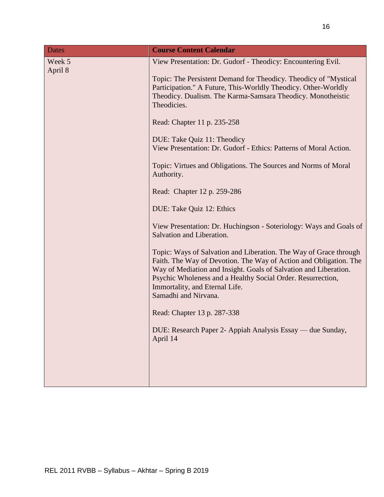| <b>Dates</b>      | <b>Course Content Calendar</b>                                                                                                                                                                                                                                                                                                      |
|-------------------|-------------------------------------------------------------------------------------------------------------------------------------------------------------------------------------------------------------------------------------------------------------------------------------------------------------------------------------|
| Week 5<br>April 8 | View Presentation: Dr. Gudorf - Theodicy: Encountering Evil.                                                                                                                                                                                                                                                                        |
|                   | Topic: The Persistent Demand for Theodicy. Theodicy of "Mystical<br>Participation." A Future, This-Worldly Theodicy. Other-Worldly<br>Theodicy. Dualism. The Karma-Samsara Theodicy. Monotheistic<br>Theodicies.                                                                                                                    |
|                   | Read: Chapter 11 p. 235-258                                                                                                                                                                                                                                                                                                         |
|                   | DUE: Take Quiz 11: Theodicy<br>View Presentation: Dr. Gudorf - Ethics: Patterns of Moral Action.                                                                                                                                                                                                                                    |
|                   | Topic: Virtues and Obligations. The Sources and Norms of Moral<br>Authority.                                                                                                                                                                                                                                                        |
|                   | Read: Chapter 12 p. 259-286                                                                                                                                                                                                                                                                                                         |
|                   | DUE: Take Quiz 12: Ethics                                                                                                                                                                                                                                                                                                           |
|                   | View Presentation: Dr. Huchingson - Soteriology: Ways and Goals of<br>Salvation and Liberation.                                                                                                                                                                                                                                     |
|                   | Topic: Ways of Salvation and Liberation. The Way of Grace through<br>Faith. The Way of Devotion. The Way of Action and Obligation. The<br>Way of Mediation and Insight. Goals of Salvation and Liberation.<br>Psychic Wholeness and a Healthy Social Order. Resurrection,<br>Immortality, and Eternal Life.<br>Samadhi and Nirvana. |
|                   | Read: Chapter 13 p. 287-338                                                                                                                                                                                                                                                                                                         |
|                   | DUE: Research Paper 2- Appiah Analysis Essay — due Sunday,<br>April 14                                                                                                                                                                                                                                                              |
|                   |                                                                                                                                                                                                                                                                                                                                     |
|                   |                                                                                                                                                                                                                                                                                                                                     |